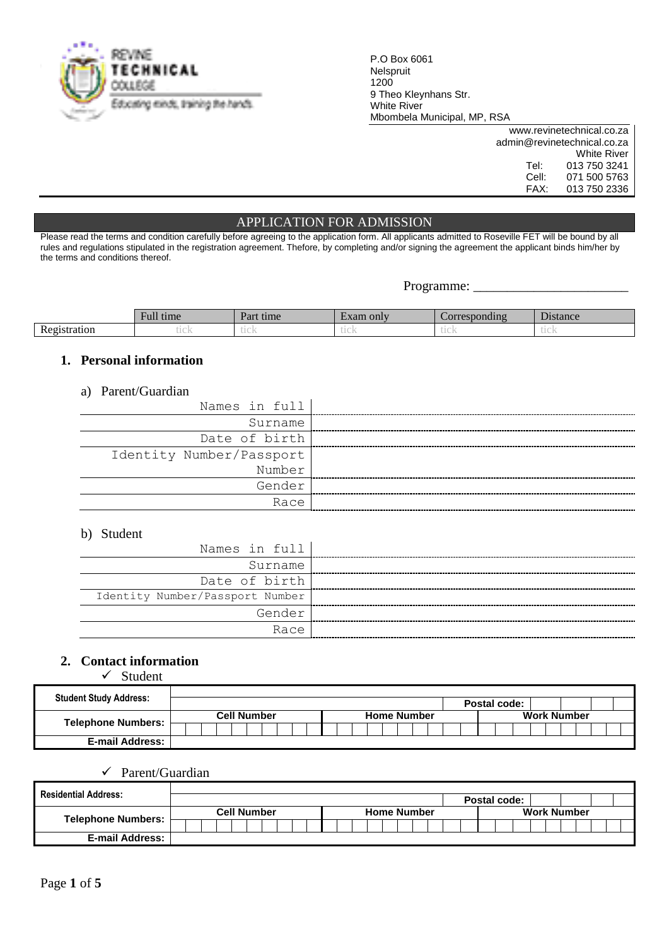

P.O Box 6061 Nelspruit 1200 9 Theo Kleynhans Str. White River Mbombela Municipal, MP, RSA

|       | www.revinetechnical.co.za   |
|-------|-----------------------------|
|       | admin@revinetechnical.co.za |
|       | <b>White River</b>          |
| Tel:  | 013 750 3241                |
| Cell: | 071 500 5763                |
| FAX:  | 013 750 2336                |

## APPLICATION FOR ADMISSION

Please read the terms and condition carefully before agreeing to the application form. All applicants admitted to Roseville FET will be bound by all rules and regulations stipulated in the registration agreement. Thefore, by completing and/or signing the agreement the applicant binds him/her by the terms and conditions thereof.

Programme: \_\_\_\_\_\_\_\_\_\_\_\_\_\_\_\_\_\_\_\_\_\_\_

|                                                   | 11<br>лпге | Do.<br>ame<br>vн     | only                  | $dim \alpha$<br>ort |                       |
|---------------------------------------------------|------------|----------------------|-----------------------|---------------------|-----------------------|
| $\mathbf{r}$<br>atıon<br>$\sim$ $\sim$<br>◡<br>лc | .<br>レエンエン | do a ser li<br>LLUK. | <b>Color</b><br>レエンエン | u va                | <b>STATE</b><br>レエンエン |

## **1. Personal information**

### a) Parent/Guardian

| Names in full            |
|--------------------------|
| Surname                  |
| Date of birth            |
| Identity Number/Passport |
| Number                   |
| Gender                   |
| Race                     |

### b) Student

| Names in full                   |
|---------------------------------|
| Surname                         |
| Date of birth                   |
| Identity Number/Passport Number |
| Gender                          |
| Race                            |

## **2. Contact information**

 $\checkmark$  Student

| <b>Student Study Address:</b> |                                          |  | Postal code:       |  |  |  |
|-------------------------------|------------------------------------------|--|--------------------|--|--|--|
|                               | <b>Cell Number</b><br><b>Home Number</b> |  | <b>Work Number</b> |  |  |  |
| <b>Telephone Numbers:</b>     |                                          |  |                    |  |  |  |
| <b>E-mail Address:</b>        |                                          |  |                    |  |  |  |

## $\checkmark$  Parent/Guardian

| <b>Residential Address:</b> |                                          |  | Postal code:       |  |  |  |
|-----------------------------|------------------------------------------|--|--------------------|--|--|--|
|                             | <b>Cell Number</b><br><b>Home Number</b> |  | <b>Work Number</b> |  |  |  |
| Telephone Numbers:          |                                          |  |                    |  |  |  |
| <b>E-mail Address:</b>      |                                          |  |                    |  |  |  |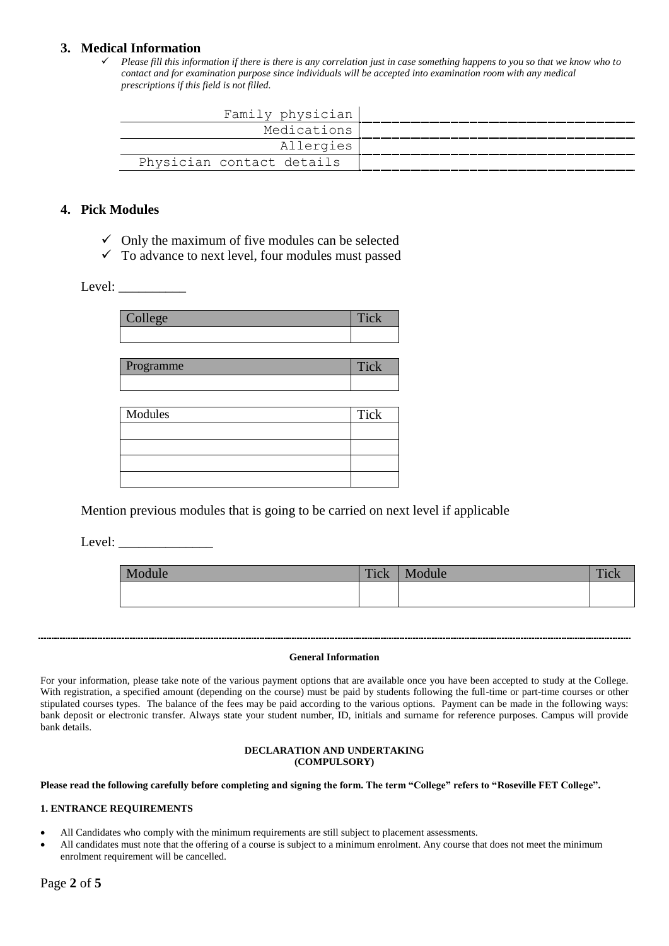## **3. Medical Information**

 *Please fill this information if there is there is any correlation just in case something happens to you so that we know who to contact and for examination purpose since individuals will be accepted into examination room with any medical prescriptions if this field is not filled.*

| Family physician          |
|---------------------------|
| Medications               |
| Allergies                 |
| Physician contact details |

## **4. Pick Modules**

- $\checkmark$  Only the maximum of five modules can be selected
- $\checkmark$  To advance to next level, four modules must passed

### Level:  $\frac{\qquad \qquad }{\qquad \qquad }$

| $\alpha$<br>Ш<br>___ |  |
|----------------------|--|
|                      |  |

| <i>rogramme</i> |  |
|-----------------|--|
|                 |  |

| Modules | Tick |
|---------|------|
|         |      |
|         |      |
|         |      |
|         |      |

Mention previous modules that is going to be carried on next level if applicable

Level:

| Module | Tick | Module | Tiol<br>1 IV N |
|--------|------|--------|----------------|
|        |      |        |                |

#### **General Information**

For your information, please take note of the various payment options that are available once you have been accepted to study at the College. With registration, a specified amount (depending on the course) must be paid by students following the full-time or part-time courses or other stipulated courses types. The balance of the fees may be paid according to the various options. Payment can be made in the following ways: bank deposit or electronic transfer. Always state your student number, ID, initials and surname for reference purposes. Campus will provide bank details.

#### **DECLARATION AND UNDERTAKING (COMPULSORY)**

**Please read the following carefully before completing and signing the form. The term "College" refers to "Roseville FET College".**

#### **1. ENTRANCE REQUIREMENTS**

- All Candidates who comply with the minimum requirements are still subject to placement assessments.
- All candidates must note that the offering of a course is subject to a minimum enrolment. Any course that does not meet the minimum enrolment requirement will be cancelled.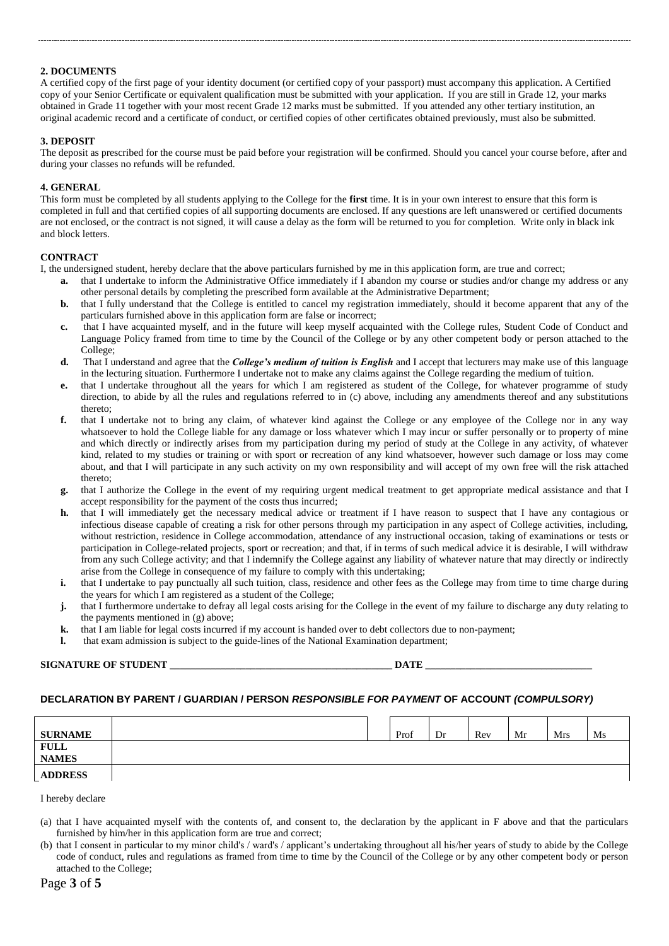#### **2. DOCUMENTS**

A certified copy of the first page of your identity document (or certified copy of your passport) must accompany this application. A Certified copy of your Senior Certificate or equivalent qualification must be submitted with your application. If you are still in Grade 12, your marks obtained in Grade 11 together with your most recent Grade 12 marks must be submitted. If you attended any other tertiary institution, an original academic record and a certificate of conduct, or certified copies of other certificates obtained previously, must also be submitted.

#### **3. DEPOSIT**

The deposit as prescribed for the course must be paid before your registration will be confirmed. Should you cancel your course before, after and during your classes no refunds will be refunded.

#### **4. GENERAL**

This form must be completed by all students applying to the College for the **first** time. It is in your own interest to ensure that this form is completed in full and that certified copies of all supporting documents are enclosed. If any questions are left unanswered or certified documents are not enclosed, or the contract is not signed, it will cause a delay as the form will be returned to you for completion. Write only in black ink and block letters.

#### **CONTRACT**

I, the undersigned student, hereby declare that the above particulars furnished by me in this application form, are true and correct;

- **a.** that I undertake to inform the Administrative Office immediately if I abandon my course or studies and/or change my address or any other personal details by completing the prescribed form available at the Administrative Department;
- **b.** that I fully understand that the College is entitled to cancel my registration immediately, should it become apparent that any of the particulars furnished above in this application form are false or incorrect;
- **c.** that I have acquainted myself, and in the future will keep myself acquainted with the College rules, Student Code of Conduct and Language Policy framed from time to time by the Council of the College or by any other competent body or person attached to the College;
- **d.** That I understand and agree that the *College's medium of tuition is English* and I accept that lecturers may make use of this language in the lecturing situation. Furthermore I undertake not to make any claims against the College regarding the medium of tuition.
- **e.** that I undertake throughout all the years for which I am registered as student of the College, for whatever programme of study direction, to abide by all the rules and regulations referred to in (c) above, including any amendments thereof and any substitutions thereto;
- **f.** that I undertake not to bring any claim, of whatever kind against the College or any employee of the College nor in any way whatsoever to hold the College liable for any damage or loss whatever which I may incur or suffer personally or to property of mine and which directly or indirectly arises from my participation during my period of study at the College in any activity, of whatever kind, related to my studies or training or with sport or recreation of any kind whatsoever, however such damage or loss may come about, and that I will participate in any such activity on my own responsibility and will accept of my own free will the risk attached thereto;
- **g.** that I authorize the College in the event of my requiring urgent medical treatment to get appropriate medical assistance and that I accept responsibility for the payment of the costs thus incurred;
- **h.** that I will immediately get the necessary medical advice or treatment if I have reason to suspect that I have any contagious or infectious disease capable of creating a risk for other persons through my participation in any aspect of College activities, including, without restriction, residence in College accommodation, attendance of any instructional occasion, taking of examinations or tests or participation in College-related projects, sport or recreation; and that, if in terms of such medical advice it is desirable, I will withdraw from any such College activity; and that I indemnify the College against any liability of whatever nature that may directly or indirectly arise from the College in consequence of my failure to comply with this undertaking;
- **i.** that I undertake to pay punctually all such tuition, class, residence and other fees as the College may from time to time charge during the years for which I am registered as a student of the College;
- **j.** that I furthermore undertake to defray all legal costs arising for the College in the event of my failure to discharge any duty relating to the payments mentioned in (g) above;
- **k.** that I am liable for legal costs incurred if my account is handed over to debt collectors due to non-payment;
- **l.** that exam admission is subject to the guide-lines of the National Examination department;

#### **SIGNATURE OF STUDENT \_\_\_\_\_\_\_\_\_\_\_\_\_\_\_\_\_\_\_\_\_\_\_\_\_\_\_\_\_\_\_\_\_\_\_\_\_\_\_\_\_\_\_\_ DATE \_\_\_\_\_\_\_\_\_\_\_\_\_\_\_\_\_\_\_\_\_\_\_\_\_\_\_\_\_\_\_\_\_**

#### **DECLARATION BY PARENT / GUARDIAN / PERSON** *RESPONSIBLE FOR PAYMENT* **OF ACCOUNT** *(COMPULSORY)*

| <b>SURNAME</b>              |  | Prof | Dr | Rev | Mr | Mrs | Ms |
|-----------------------------|--|------|----|-----|----|-----|----|
| <b>FULL</b><br><b>NAMES</b> |  |      |    |     |    |     |    |
| <b>ADDRESS</b>              |  |      |    |     |    |     |    |

I hereby declare

- (a) that I have acquainted myself with the contents of, and consent to, the declaration by the applicant in F above and that the particulars furnished by him/her in this application form are true and correct;
- (b) that I consent in particular to my minor child's / ward's / applicant's undertaking throughout all his/her years of study to abide by the College code of conduct, rules and regulations as framed from time to time by the Council of the College or by any other competent body or person attached to the College;

#### Page **3** of **5**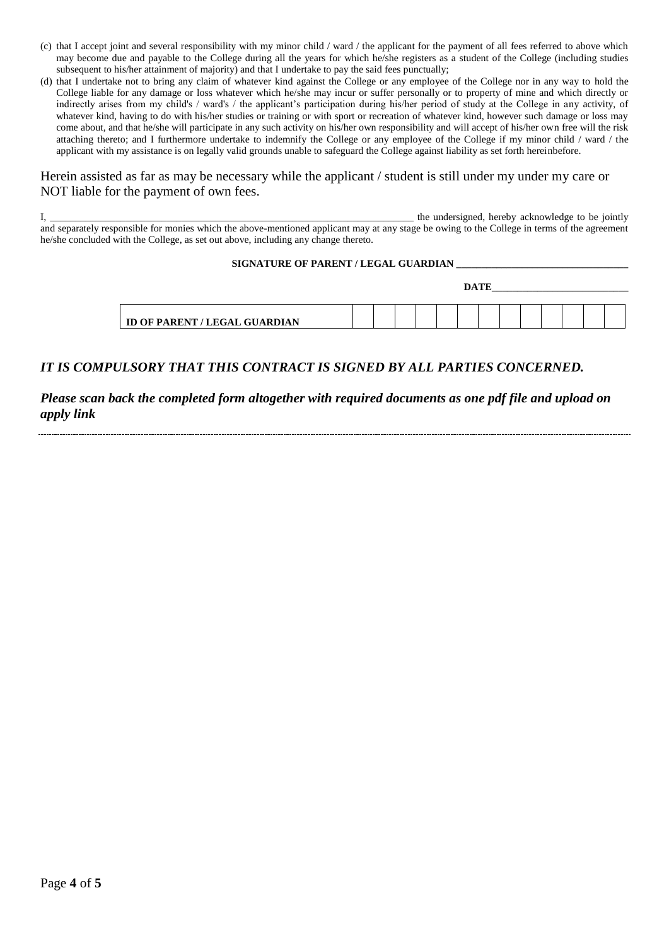- (c) that I accept joint and several responsibility with my minor child / ward / the applicant for the payment of all fees referred to above which may become due and payable to the College during all the years for which he/she registers as a student of the College (including studies subsequent to his/her attainment of majority) and that I undertake to pay the said fees punctually;
- (d) that I undertake not to bring any claim of whatever kind against the College or any employee of the College nor in any way to hold the College liable for any damage or loss whatever which he/she may incur or suffer personally or to property of mine and which directly or indirectly arises from my child's / ward's / the applicant's participation during his/her period of study at the College in any activity, of whatever kind, having to do with his/her studies or training or with sport or recreation of whatever kind, however such damage or loss may come about, and that he/she will participate in any such activity on his/her own responsibility and will accept of his/her own free will the risk attaching thereto; and I furthermore undertake to indemnify the College or any employee of the College if my minor child / ward / the applicant with my assistance is on legally valid grounds unable to safeguard the College against liability as set forth hereinbefore.

## Herein assisted as far as may be necessary while the applicant / student is still under my under my care or NOT liable for the payment of own fees.

 $I$ , the undersigned, hereby acknowledge to be jointly and separately responsible for monies which the above-mentioned applicant may at any stage be owing to the College in terms of the agreement he/she concluded with the College, as set out above, including any change thereto.

#### SIGNATURE OF PARENT / LEGAL GUARDIAN

|                                      | DA TID<br>JA. |  |  |  |  |  |  |  |  |  |  |  |
|--------------------------------------|---------------|--|--|--|--|--|--|--|--|--|--|--|
|                                      |               |  |  |  |  |  |  |  |  |  |  |  |
|                                      |               |  |  |  |  |  |  |  |  |  |  |  |
| <b>ID OF PARENT / LEGAL GUARDIAN</b> |               |  |  |  |  |  |  |  |  |  |  |  |

## *IT IS COMPULSORY THAT THIS CONTRACT IS SIGNED BY ALL PARTIES CONCERNED.*

## *Please scan back the completed form altogether with required documents as one pdf file and upload on apply link*